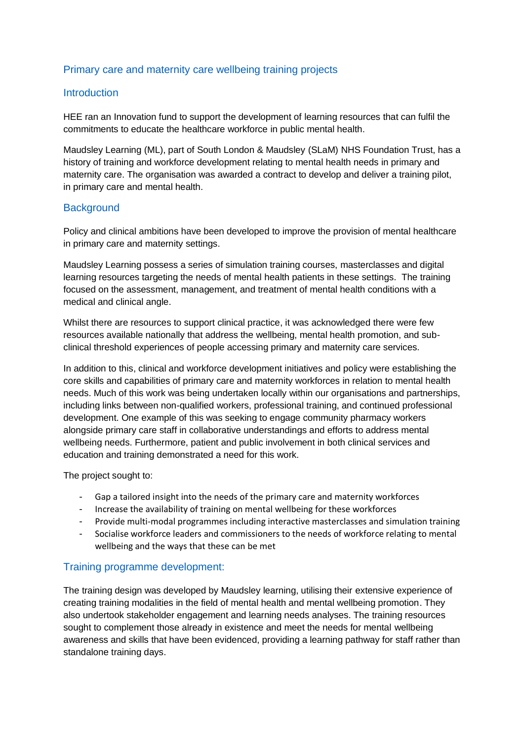# Primary care and maternity care wellbeing training projects

### Introduction

HEE ran an Innovation fund to support the development of learning resources that can fulfil the commitments to educate the healthcare workforce in public mental health.

Maudsley Learning (ML), part of South London & Maudsley (SLaM) NHS Foundation Trust, has a history of training and workforce development relating to mental health needs in primary and maternity care. The organisation was awarded a contract to develop and deliver a training pilot, in primary care and mental health.

### **Background**

Policy and clinical ambitions have been developed to improve the provision of mental healthcare in primary care and maternity settings.

Maudsley Learning possess a series of simulation training courses, masterclasses and digital learning resources targeting the needs of mental health patients in these settings. The training focused on the assessment, management, and treatment of mental health conditions with a medical and clinical angle.

Whilst there are resources to support clinical practice, it was acknowledged there were few resources available nationally that address the wellbeing, mental health promotion, and subclinical threshold experiences of people accessing primary and maternity care services.

In addition to this, clinical and workforce development initiatives and policy were establishing the core skills and capabilities of primary care and maternity workforces in relation to mental health needs. Much of this work was being undertaken locally within our organisations and partnerships, including links between non-qualified workers, professional training, and continued professional development. One example of this was seeking to engage community pharmacy workers alongside primary care staff in collaborative understandings and efforts to address mental wellbeing needs. Furthermore, patient and public involvement in both clinical services and education and training demonstrated a need for this work.

The project sought to:

- Gap a tailored insight into the needs of the primary care and maternity workforces
- Increase the availability of training on mental wellbeing for these workforces
- Provide multi-modal programmes including interactive masterclasses and simulation training
- Socialise workforce leaders and commissioners to the needs of workforce relating to mental wellbeing and the ways that these can be met

## Training programme development:

The training design was developed by Maudsley learning, utilising their extensive experience of creating training modalities in the field of mental health and mental wellbeing promotion. They also undertook stakeholder engagement and learning needs analyses. The training resources sought to complement those already in existence and meet the needs for mental wellbeing awareness and skills that have been evidenced, providing a learning pathway for staff rather than standalone training days.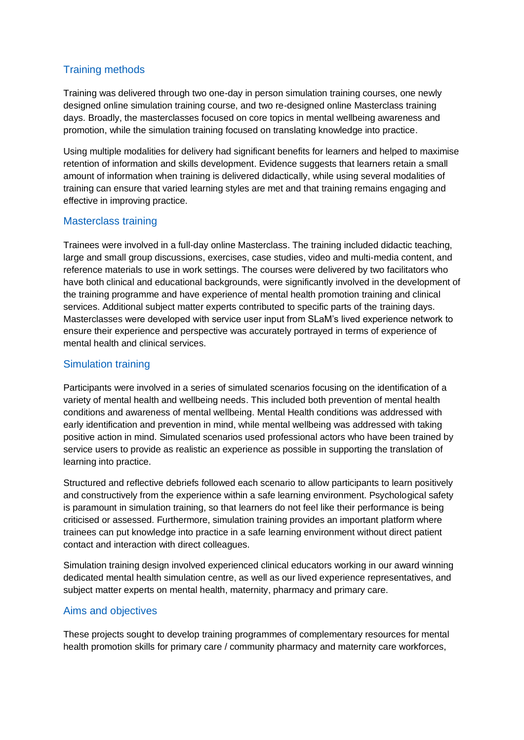# Training methods

Training was delivered through two one-day in person simulation training courses, one newly designed online simulation training course, and two re-designed online Masterclass training days. Broadly, the masterclasses focused on core topics in mental wellbeing awareness and promotion, while the simulation training focused on translating knowledge into practice.

Using multiple modalities for delivery had significant benefits for learners and helped to maximise retention of information and skills development. Evidence suggests that learners retain a small amount of information when training is delivered didactically, while using several modalities of training can ensure that varied learning styles are met and that training remains engaging and effective in improving practice.

### Masterclass training

Trainees were involved in a full-day online Masterclass. The training included didactic teaching, large and small group discussions, exercises, case studies, video and multi-media content, and reference materials to use in work settings. The courses were delivered by two facilitators who have both clinical and educational backgrounds, were significantly involved in the development of the training programme and have experience of mental health promotion training and clinical services. Additional subject matter experts contributed to specific parts of the training days. Masterclasses were developed with service user input from SLaM's lived experience network to ensure their experience and perspective was accurately portrayed in terms of experience of mental health and clinical services.

# Simulation training

Participants were involved in a series of simulated scenarios focusing on the identification of a variety of mental health and wellbeing needs. This included both prevention of mental health conditions and awareness of mental wellbeing. Mental Health conditions was addressed with early identification and prevention in mind, while mental wellbeing was addressed with taking positive action in mind. Simulated scenarios used professional actors who have been trained by service users to provide as realistic an experience as possible in supporting the translation of learning into practice.

Structured and reflective debriefs followed each scenario to allow participants to learn positively and constructively from the experience within a safe learning environment. Psychological safety is paramount in simulation training, so that learners do not feel like their performance is being criticised or assessed. Furthermore, simulation training provides an important platform where trainees can put knowledge into practice in a safe learning environment without direct patient contact and interaction with direct colleagues.

Simulation training design involved experienced clinical educators working in our award winning dedicated mental health simulation centre, as well as our lived experience representatives, and subject matter experts on mental health, maternity, pharmacy and primary care.

## Aims and objectives

These projects sought to develop training programmes of complementary resources for mental health promotion skills for primary care / community pharmacy and maternity care workforces,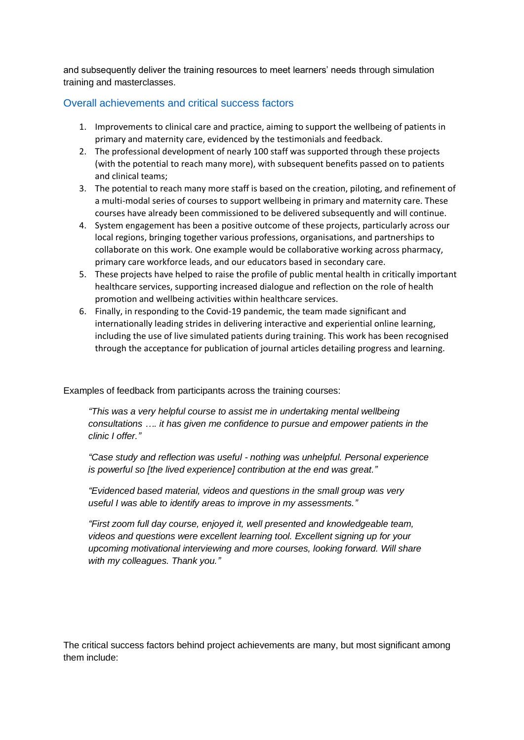and subsequently deliver the training resources to meet learners' needs through simulation training and masterclasses.

### Overall achievements and critical success factors

- 1. Improvements to clinical care and practice, aiming to support the wellbeing of patients in primary and maternity care, evidenced by the testimonials and feedback.
- 2. The professional development of nearly 100 staff was supported through these projects (with the potential to reach many more), with subsequent benefits passed on to patients and clinical teams;
- 3. The potential to reach many more staff is based on the creation, piloting, and refinement of a multi-modal series of courses to support wellbeing in primary and maternity care. These courses have already been commissioned to be delivered subsequently and will continue.
- 4. System engagement has been a positive outcome of these projects, particularly across our local regions, bringing together various professions, organisations, and partnerships to collaborate on this work. One example would be collaborative working across pharmacy, primary care workforce leads, and our educators based in secondary care.
- 5. These projects have helped to raise the profile of public mental health in critically important healthcare services, supporting increased dialogue and reflection on the role of health promotion and wellbeing activities within healthcare services.
- 6. Finally, in responding to the Covid-19 pandemic, the team made significant and internationally leading strides in delivering interactive and experiential online learning, including the use of live simulated patients during training. This work has been recognised through the acceptance for publication of journal articles detailing progress and learning.

Examples of feedback from participants across the training courses:

*"This was a very helpful course to assist me in undertaking mental wellbeing consultations …. it has given me confidence to pursue and empower patients in the clinic I offer."*

*"Case study and reflection was useful - nothing was unhelpful. Personal experience is powerful so [the lived experience] contribution at the end was great."*

*"Evidenced based material, videos and questions in the small group was very useful I was able to identify areas to improve in my assessments."*

*"First zoom full day course, enjoyed it, well presented and knowledgeable team, videos and questions were excellent learning tool. Excellent signing up for your upcoming motivational interviewing and more courses, looking forward. Will share with my colleagues. Thank you."*

The critical success factors behind project achievements are many, but most significant among them include: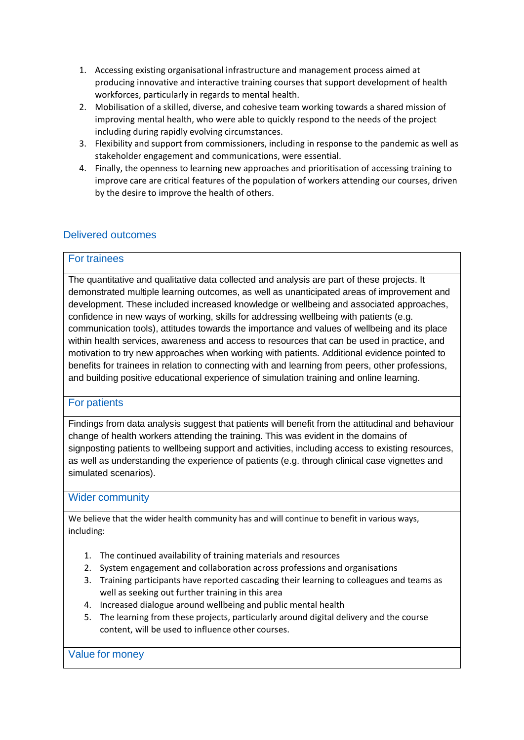- 1. Accessing existing organisational infrastructure and management process aimed at producing innovative and interactive training courses that support development of health workforces, particularly in regards to mental health.
- 2. Mobilisation of a skilled, diverse, and cohesive team working towards a shared mission of improving mental health, who were able to quickly respond to the needs of the project including during rapidly evolving circumstances.
- 3. Flexibility and support from commissioners, including in response to the pandemic as well as stakeholder engagement and communications, were essential.
- 4. Finally, the openness to learning new approaches and prioritisation of accessing training to improve care are critical features of the population of workers attending our courses, driven by the desire to improve the health of others.

## Delivered outcomes

#### For trainees

The quantitative and qualitative data collected and analysis are part of these projects. It demonstrated multiple learning outcomes, as well as unanticipated areas of improvement and development. These included increased knowledge or wellbeing and associated approaches, confidence in new ways of working, skills for addressing wellbeing with patients (e.g. communication tools), attitudes towards the importance and values of wellbeing and its place within health services, awareness and access to resources that can be used in practice, and motivation to try new approaches when working with patients. Additional evidence pointed to benefits for trainees in relation to connecting with and learning from peers, other professions, and building positive educational experience of simulation training and online learning.

#### For patients

Findings from data analysis suggest that patients will benefit from the attitudinal and behaviour change of health workers attending the training. This was evident in the domains of signposting patients to wellbeing support and activities, including access to existing resources, as well as understanding the experience of patients (e.g. through clinical case vignettes and simulated scenarios).

#### Wider community

We believe that the wider health community has and will continue to benefit in various ways, including:

- 1. The continued availability of training materials and resources
- 2. System engagement and collaboration across professions and organisations
- 3. Training participants have reported cascading their learning to colleagues and teams as well as seeking out further training in this area
- 4. Increased dialogue around wellbeing and public mental health
- 5. The learning from these projects, particularly around digital delivery and the course content, will be used to influence other courses.

Value for money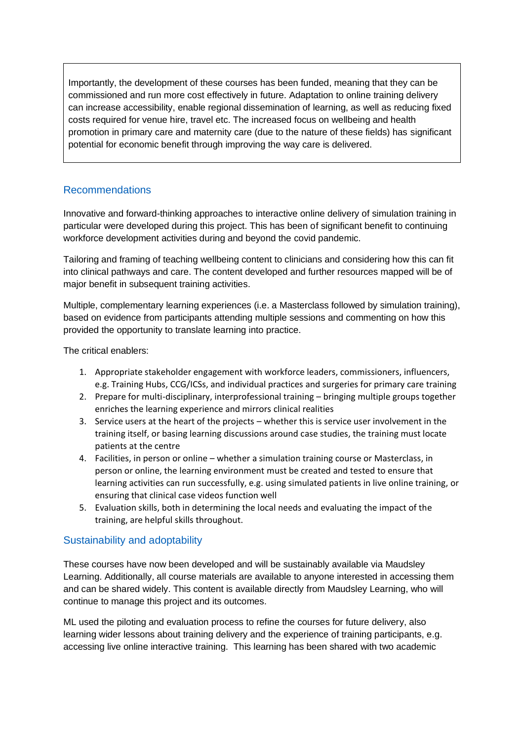Importantly, the development of these courses has been funded, meaning that they can be commissioned and run more cost effectively in future. Adaptation to online training delivery can increase accessibility, enable regional dissemination of learning, as well as reducing fixed costs required for venue hire, travel etc. The increased focus on wellbeing and health promotion in primary care and maternity care (due to the nature of these fields) has significant potential for economic benefit through improving the way care is delivered.

## Recommendations

Innovative and forward-thinking approaches to interactive online delivery of simulation training in particular were developed during this project. This has been of significant benefit to continuing workforce development activities during and beyond the covid pandemic.

Tailoring and framing of teaching wellbeing content to clinicians and considering how this can fit into clinical pathways and care. The content developed and further resources mapped will be of major benefit in subsequent training activities.

Multiple, complementary learning experiences (i.e. a Masterclass followed by simulation training), based on evidence from participants attending multiple sessions and commenting on how this provided the opportunity to translate learning into practice.

The critical enablers:

- 1. Appropriate stakeholder engagement with workforce leaders, commissioners, influencers, e.g. Training Hubs, CCG/ICSs, and individual practices and surgeries for primary care training
- 2. Prepare for multi-disciplinary, interprofessional training bringing multiple groups together enriches the learning experience and mirrors clinical realities
- 3. Service users at the heart of the projects whether this is service user involvement in the training itself, or basing learning discussions around case studies, the training must locate patients at the centre
- 4. Facilities, in person or online whether a simulation training course or Masterclass, in person or online, the learning environment must be created and tested to ensure that learning activities can run successfully, e.g. using simulated patients in live online training, or ensuring that clinical case videos function well
- 5. Evaluation skills, both in determining the local needs and evaluating the impact of the training, are helpful skills throughout.

## Sustainability and adoptability

These courses have now been developed and will be sustainably available via Maudsley Learning. Additionally, all course materials are available to anyone interested in accessing them and can be shared widely. This content is available directly from Maudsley Learning, who will continue to manage this project and its outcomes.

ML used the piloting and evaluation process to refine the courses for future delivery, also learning wider lessons about training delivery and the experience of training participants, e.g. accessing live online interactive training. This learning has been shared with two academic